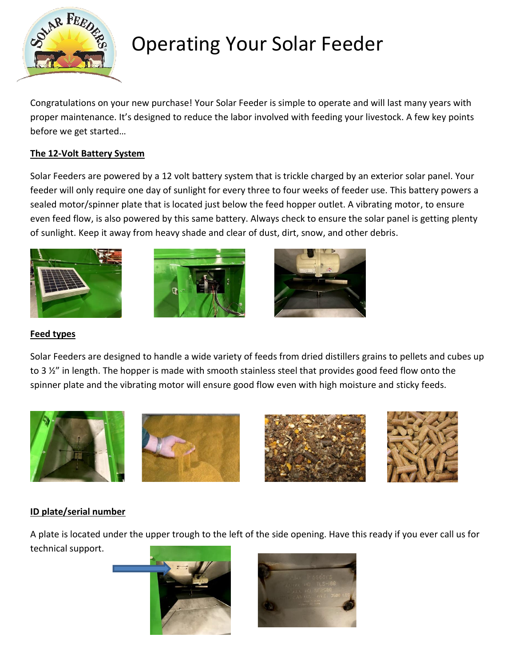

# Operating Your Solar Feeder

Congratulations on your new purchase! Your Solar Feeder is simple to operate and will last many years with proper maintenance. It's designed to reduce the labor involved with feeding your livestock. A few key points before we get started…

#### **The 12-Volt Battery System**

Solar Feeders are powered by a 12 volt battery system that is trickle charged by an exterior solar panel. Your feeder will only require one day of sunlight for every three to four weeks of feeder use. This battery powers a sealed motor/spinner plate that is located just below the feed hopper outlet. A vibrating motor, to ensure even feed flow, is also powered by this same battery. Always check to ensure the solar panel is getting plenty of sunlight. Keep it away from heavy shade and clear of dust, dirt, snow, and other debris.







#### **Feed types**

Solar Feeders are designed to handle a wide variety of feeds from dried distillers grains to pellets and cubes up to 3  $\frac{1}{2}$ " in length. The hopper is made with smooth stainless steel that provides good feed flow onto the spinner plate and the vibrating motor will ensure good flow even with high moisture and sticky feeds.









#### **ID plate/serial number**

A plate is located under the upper trough to the left of the side opening. Have this ready if you ever call us for technical support.



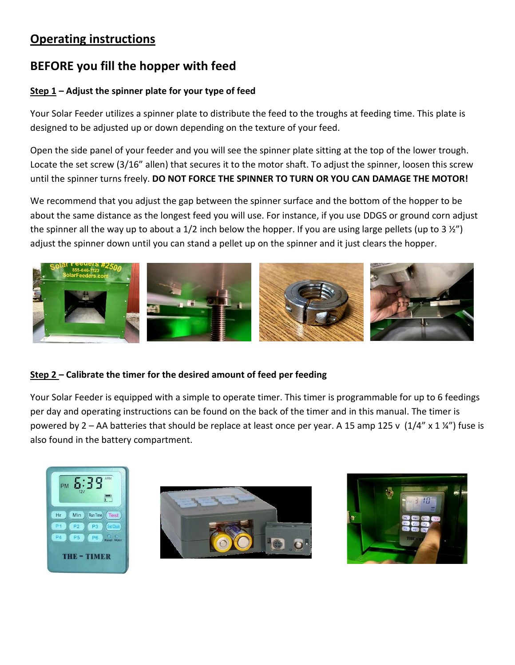### **Operating instructions**

## **BEFORE you fill the hopper with feed**

#### **Step 1 – Adjust the spinner plate for your type of feed**

Your Solar Feeder utilizes a spinner plate to distribute the feed to the troughs at feeding time. This plate is designed to be adjusted up or down depending on the texture of your feed.

Open the side panel of your feeder and you will see the spinner plate sitting at the top of the lower trough. Locate the set screw (3/16" allen) that secures it to the motor shaft. To adjust the spinner, loosen this screw until the spinner turns freely. **DO NOT FORCE THE SPINNER TO TURN OR YOU CAN DAMAGE THE MOTOR!**

We recommend that you adjust the gap between the spinner surface and the bottom of the hopper to be about the same distance as the longest feed you will use. For instance, if you use DDGS or ground corn adjust the spinner all the way up to about a 1/2 inch below the hopper. If you are using large pellets (up to 3  $\frac{1}{2}$ ) adjust the spinner down until you can stand a pellet up on the spinner and it just clears the hopper.



#### **Step 2 – Calibrate the timer for the desired amount of feed per feeding**

Your Solar Feeder is equipped with a simple to operate timer. This timer is programmable for up to 6 feedings per day and operating instructions can be found on the back of the timer and in this manual. The timer is powered by 2 – AA batteries that should be replace at least once per year. A 15 amp 125 v  $(1/4'' \times 1 \frac{1}{4''})$  fuse is also found in the battery compartment.





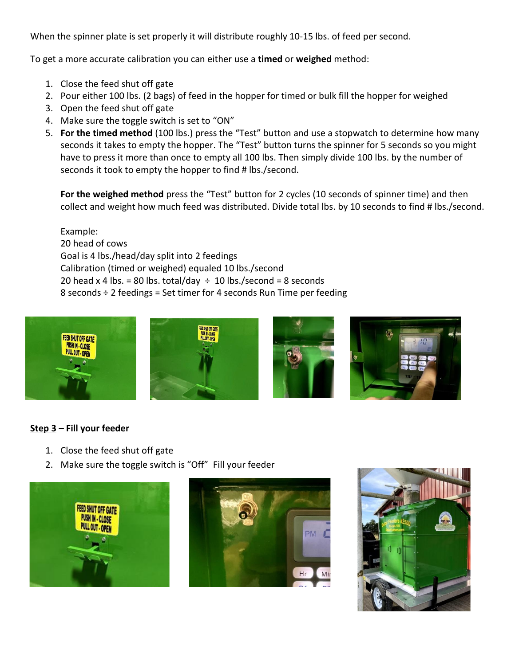When the spinner plate is set properly it will distribute roughly 10-15 lbs. of feed per second.

To get a more accurate calibration you can either use a **timed** or **weighed** method:

- 1. Close the feed shut off gate
- 2. Pour either 100 lbs. (2 bags) of feed in the hopper for timed or bulk fill the hopper for weighed
- 3. Open the feed shut off gate
- 4. Make sure the toggle switch is set to "ON"
- 5. **For the timed method** (100 lbs.) press the "Test" button and use a stopwatch to determine how many seconds it takes to empty the hopper. The "Test" button turns the spinner for 5 seconds so you might have to press it more than once to empty all 100 lbs. Then simply divide 100 lbs. by the number of seconds it took to empty the hopper to find # lbs./second.

**For the weighed method** press the "Test" button for 2 cycles (10 seconds of spinner time) and then collect and weight how much feed was distributed. Divide total lbs. by 10 seconds to find # lbs./second.

Example: 20 head of cows Goal is 4 lbs./head/day split into 2 feedings Calibration (timed or weighed) equaled 10 lbs./second 20 head x 4 lbs. = 80 lbs. total/day  $\div$  10 lbs./second = 8 seconds 8 seconds ÷ 2 feedings = Set timer for 4 seconds Run Time per feeding



#### **Step 3 – Fill your feeder**

- 1. Close the feed shut off gate
- 2. Make sure the toggle switch is "Off" Fill your feeder





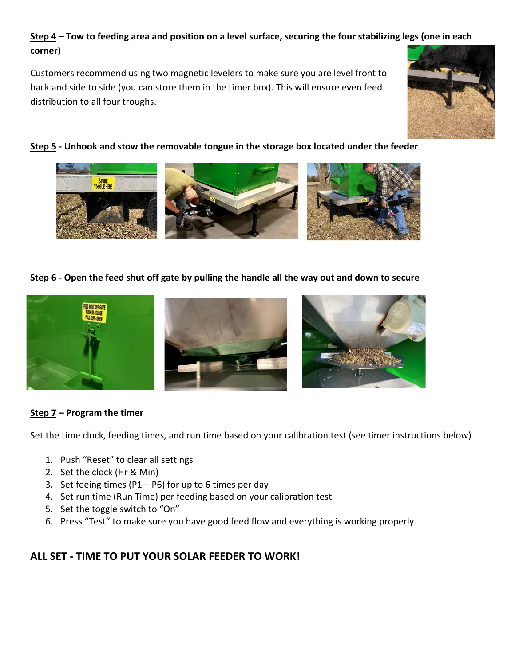#### **Step 4 – Tow to feeding area and position on a level surface, securing the four stabilizing legs (one in each corner)**

Customers recommend using two magnetic levelers to make sure you are level front to back and side to side (you can store them in the timer box). This will ensure even feed distribution to all four troughs.



#### **Step 5 - Unhook and stow the removable tongue in the storage box located under the feeder**



**Step 6 - Open the feed shut off gate by pulling the handle all the way out and down to secure**



#### **Step 7 – Program the timer**

Set the time clock, feeding times, and run time based on your calibration test (see timer instructions below)

- 1. Push "Reset" to clear all settings
- 2. Set the clock (Hr & Min)
- 3. Set feeing times (P1 P6) for up to 6 times per day
- 4. Set run time (Run Time) per feeding based on your calibration test
- 5. Set the toggle switch to "On"
- 6. Press "Test" to make sure you have good feed flow and everything is working properly

#### **ALL SET - TIME TO PUT YOUR SOLAR FEEDER TO WORK!**